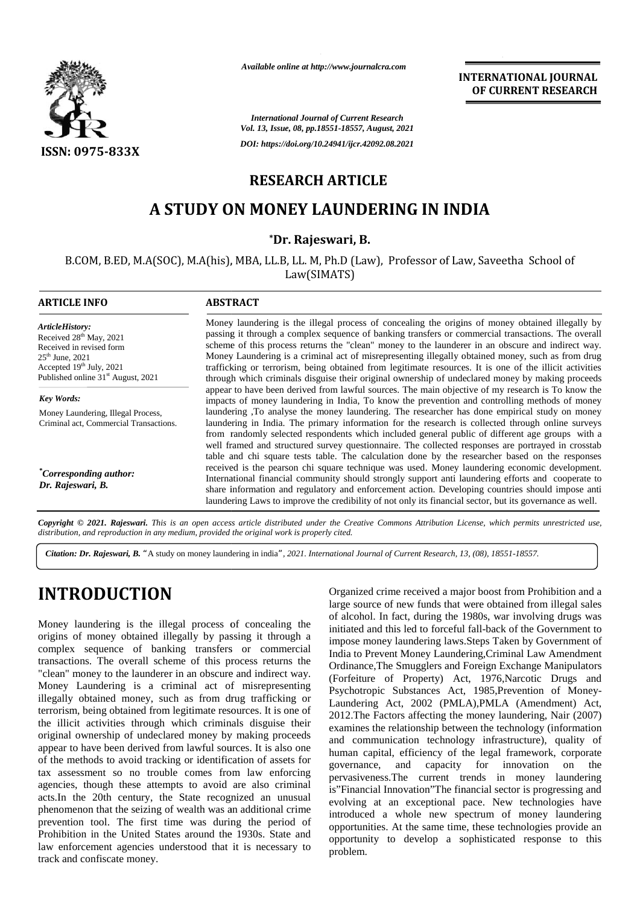

*Available online at http://www.journalcra.com*

**INTERNATIONAL JOURNAL OF CURRENT RESEARCH**

### **RESEARCH ARTICLE**

# **A STUDY ON MONEY LAUNDERING IN INDIA**

### **\*Dr. Rajeswari, B. \***

|                                                                                                                                                                                                                                                                                                                                                                                                                                                                                                                                                                                                                                                                                                                                                                                                                                                                                                                                                                                                                                                                                                                                                                                                                                    |                                                                                                                                                                                                                                                                                                                                                                                                                                                                                                                                                                                                                                                                                                                                                                                                                                                                                                                                       | <b>International Journal of Current Research</b><br>Vol. 13, Issue, 08, pp.18551-18557, August, 2021                                                                                                                                                                                                                                                                                                                                                                                                                                                                                                                                                                                                                                                                                                                                                                                                                                                                                                                                                                                                                                               |
|------------------------------------------------------------------------------------------------------------------------------------------------------------------------------------------------------------------------------------------------------------------------------------------------------------------------------------------------------------------------------------------------------------------------------------------------------------------------------------------------------------------------------------------------------------------------------------------------------------------------------------------------------------------------------------------------------------------------------------------------------------------------------------------------------------------------------------------------------------------------------------------------------------------------------------------------------------------------------------------------------------------------------------------------------------------------------------------------------------------------------------------------------------------------------------------------------------------------------------|---------------------------------------------------------------------------------------------------------------------------------------------------------------------------------------------------------------------------------------------------------------------------------------------------------------------------------------------------------------------------------------------------------------------------------------------------------------------------------------------------------------------------------------------------------------------------------------------------------------------------------------------------------------------------------------------------------------------------------------------------------------------------------------------------------------------------------------------------------------------------------------------------------------------------------------|----------------------------------------------------------------------------------------------------------------------------------------------------------------------------------------------------------------------------------------------------------------------------------------------------------------------------------------------------------------------------------------------------------------------------------------------------------------------------------------------------------------------------------------------------------------------------------------------------------------------------------------------------------------------------------------------------------------------------------------------------------------------------------------------------------------------------------------------------------------------------------------------------------------------------------------------------------------------------------------------------------------------------------------------------------------------------------------------------------------------------------------------------|
| <b>ISSN: 0975-833X</b>                                                                                                                                                                                                                                                                                                                                                                                                                                                                                                                                                                                                                                                                                                                                                                                                                                                                                                                                                                                                                                                                                                                                                                                                             |                                                                                                                                                                                                                                                                                                                                                                                                                                                                                                                                                                                                                                                                                                                                                                                                                                                                                                                                       | DOI: https://doi.org/10.24941/ijcr.42092.08.2021                                                                                                                                                                                                                                                                                                                                                                                                                                                                                                                                                                                                                                                                                                                                                                                                                                                                                                                                                                                                                                                                                                   |
|                                                                                                                                                                                                                                                                                                                                                                                                                                                                                                                                                                                                                                                                                                                                                                                                                                                                                                                                                                                                                                                                                                                                                                                                                                    | <b>RESEARCH ARTICLE</b>                                                                                                                                                                                                                                                                                                                                                                                                                                                                                                                                                                                                                                                                                                                                                                                                                                                                                                               |                                                                                                                                                                                                                                                                                                                                                                                                                                                                                                                                                                                                                                                                                                                                                                                                                                                                                                                                                                                                                                                                                                                                                    |
|                                                                                                                                                                                                                                                                                                                                                                                                                                                                                                                                                                                                                                                                                                                                                                                                                                                                                                                                                                                                                                                                                                                                                                                                                                    |                                                                                                                                                                                                                                                                                                                                                                                                                                                                                                                                                                                                                                                                                                                                                                                                                                                                                                                                       | A STUDY ON MONEY LAUNDERING IN INDIA                                                                                                                                                                                                                                                                                                                                                                                                                                                                                                                                                                                                                                                                                                                                                                                                                                                                                                                                                                                                                                                                                                               |
|                                                                                                                                                                                                                                                                                                                                                                                                                                                                                                                                                                                                                                                                                                                                                                                                                                                                                                                                                                                                                                                                                                                                                                                                                                    | *Dr. Rajeswari, B.                                                                                                                                                                                                                                                                                                                                                                                                                                                                                                                                                                                                                                                                                                                                                                                                                                                                                                                    |                                                                                                                                                                                                                                                                                                                                                                                                                                                                                                                                                                                                                                                                                                                                                                                                                                                                                                                                                                                                                                                                                                                                                    |
|                                                                                                                                                                                                                                                                                                                                                                                                                                                                                                                                                                                                                                                                                                                                                                                                                                                                                                                                                                                                                                                                                                                                                                                                                                    | Law(SIMATS)                                                                                                                                                                                                                                                                                                                                                                                                                                                                                                                                                                                                                                                                                                                                                                                                                                                                                                                           | B.COM, B.ED, M.A(SOC), M.A(his), MBA, LL.B, LL. M, Ph.D (Law), Professor of Law, Saveetha School of                                                                                                                                                                                                                                                                                                                                                                                                                                                                                                                                                                                                                                                                                                                                                                                                                                                                                                                                                                                                                                                |
| <b>ARTICLE INFO</b>                                                                                                                                                                                                                                                                                                                                                                                                                                                                                                                                                                                                                                                                                                                                                                                                                                                                                                                                                                                                                                                                                                                                                                                                                | <b>ABSTRACT</b>                                                                                                                                                                                                                                                                                                                                                                                                                                                                                                                                                                                                                                                                                                                                                                                                                                                                                                                       |                                                                                                                                                                                                                                                                                                                                                                                                                                                                                                                                                                                                                                                                                                                                                                                                                                                                                                                                                                                                                                                                                                                                                    |
| ArticleHistory:<br>Received 28 <sup>th</sup> May, 2021<br>Received in revised form<br>$25^{\text{th}}$ June, 2021<br>Accepted 19th July, 2021<br>Published online 31 <sup>st</sup> August, 2021                                                                                                                                                                                                                                                                                                                                                                                                                                                                                                                                                                                                                                                                                                                                                                                                                                                                                                                                                                                                                                    | Money laundering is the illegal process of concealing the origins of money obtained illegally by<br>passing it through a complex sequence of banking transfers or commercial transactions. The overall<br>scheme of this process returns the "clean" money to the launderer in an obscure and indirect way.<br>Money Laundering is a criminal act of misrepresenting illegally obtained money, such as from drug<br>trafficking or terrorism, being obtained from legitimate resources. It is one of the illicit activities<br>through which criminals disguise their original ownership of undeclared money by making proceeds                                                                                                                                                                                                                                                                                                       |                                                                                                                                                                                                                                                                                                                                                                                                                                                                                                                                                                                                                                                                                                                                                                                                                                                                                                                                                                                                                                                                                                                                                    |
| <b>Key Words:</b>                                                                                                                                                                                                                                                                                                                                                                                                                                                                                                                                                                                                                                                                                                                                                                                                                                                                                                                                                                                                                                                                                                                                                                                                                  |                                                                                                                                                                                                                                                                                                                                                                                                                                                                                                                                                                                                                                                                                                                                                                                                                                                                                                                                       | appear to have been derived from lawful sources. The main objective of my research is To know the<br>impacts of money laundering in India, To know the prevention and controlling methods of money                                                                                                                                                                                                                                                                                                                                                                                                                                                                                                                                                                                                                                                                                                                                                                                                                                                                                                                                                 |
| Money Laundering, Illegal Process,<br>Criminal act, Commercial Transactions.                                                                                                                                                                                                                                                                                                                                                                                                                                                                                                                                                                                                                                                                                                                                                                                                                                                                                                                                                                                                                                                                                                                                                       | laundering ,To analyse the money laundering. The researcher has done empirical study on money<br>laundering in India. The primary information for the research is collected through online surveys<br>from randomly selected respondents which included general public of different age groups with a<br>well framed and structured survey questionnaire. The collected responses are portrayed in crosstab<br>table and chi square tests table. The calculation done by the researcher based on the responses<br>received is the pearson chi square technique was used. Money laundering economic development.<br>International financial community should strongly support anti laundering efforts and cooperate to<br>share information and regulatory and enforcement action. Developing countries should impose anti<br>laundering Laws to improve the credibility of not only its financial sector, but its governance as well. |                                                                                                                                                                                                                                                                                                                                                                                                                                                                                                                                                                                                                                                                                                                                                                                                                                                                                                                                                                                                                                                                                                                                                    |
| <i>*Corresponding author:</i><br>Dr. Rajeswari, B.                                                                                                                                                                                                                                                                                                                                                                                                                                                                                                                                                                                                                                                                                                                                                                                                                                                                                                                                                                                                                                                                                                                                                                                 |                                                                                                                                                                                                                                                                                                                                                                                                                                                                                                                                                                                                                                                                                                                                                                                                                                                                                                                                       |                                                                                                                                                                                                                                                                                                                                                                                                                                                                                                                                                                                                                                                                                                                                                                                                                                                                                                                                                                                                                                                                                                                                                    |
| distribution, and reproduction in any medium, provided the original work is properly cited.                                                                                                                                                                                                                                                                                                                                                                                                                                                                                                                                                                                                                                                                                                                                                                                                                                                                                                                                                                                                                                                                                                                                        |                                                                                                                                                                                                                                                                                                                                                                                                                                                                                                                                                                                                                                                                                                                                                                                                                                                                                                                                       | Copyright © 2021. Rajeswari. This is an open access article distributed under the Creative Commons Attribution License, which permits unrestricted use,                                                                                                                                                                                                                                                                                                                                                                                                                                                                                                                                                                                                                                                                                                                                                                                                                                                                                                                                                                                            |
|                                                                                                                                                                                                                                                                                                                                                                                                                                                                                                                                                                                                                                                                                                                                                                                                                                                                                                                                                                                                                                                                                                                                                                                                                                    |                                                                                                                                                                                                                                                                                                                                                                                                                                                                                                                                                                                                                                                                                                                                                                                                                                                                                                                                       | Citation: Dr. Rajeswari, B. "A study on money laundering in india", 2021. International Journal of Current Research, 13, (08), 18551-18557.                                                                                                                                                                                                                                                                                                                                                                                                                                                                                                                                                                                                                                                                                                                                                                                                                                                                                                                                                                                                        |
| <b>INTRODUCTION</b>                                                                                                                                                                                                                                                                                                                                                                                                                                                                                                                                                                                                                                                                                                                                                                                                                                                                                                                                                                                                                                                                                                                                                                                                                |                                                                                                                                                                                                                                                                                                                                                                                                                                                                                                                                                                                                                                                                                                                                                                                                                                                                                                                                       | Organized crime received a major boost from Prohibition and a<br>large source of new funds that were obtained from illegal sales<br>of alcohol. In fact, during the 1980s, war involving drugs was                                                                                                                                                                                                                                                                                                                                                                                                                                                                                                                                                                                                                                                                                                                                                                                                                                                                                                                                                 |
| Money laundering is the illegal process of concealing the<br>origins of money obtained illegally by passing it through a<br>complex sequence of banking transfers or commercial<br>transactions. The overall scheme of this process returns the<br>"clean" money to the launderer in an obscure and indirect way.<br>Money Laundering is a criminal act of misrepresenting<br>illegally obtained money, such as from drug trafficking or<br>terrorism, being obtained from legitimate resources. It is one of<br>the illicit activities through which criminals disguise their<br>original ownership of undeclared money by making proceeds<br>appear to have been derived from lawful sources. It is also one<br>of the methods to avoid tracking or identification of assets for<br>tax assessment so no trouble comes from law enforcing<br>agencies, though these attempts to avoid are also criminal<br>acts.In the 20th century, the State recognized an unusual<br>phenomenon that the seizing of wealth was an additional crime<br>prevention tool. The first time was during the period of<br>Prohibition in the United States around the 1930s. State and<br>law enforcement agencies understood that it is necessary to |                                                                                                                                                                                                                                                                                                                                                                                                                                                                                                                                                                                                                                                                                                                                                                                                                                                                                                                                       | initiated and this led to forceful fall-back of the Government to<br>impose money laundering laws.Steps Taken by Government of<br>India to Prevent Money Laundering, Criminal Law Amendment<br>Ordinance, The Smugglers and Foreign Exchange Manipulators<br>(Forfeiture of Property) Act, 1976, Narcotic Drugs and<br>Psychotropic Substances Act, 1985, Prevention of Money-<br>Laundering Act, 2002 (PMLA), PMLA (Amendment) Act,<br>2012. The Factors affecting the money laundering, Nair (2007)<br>examines the relationship between the technology (information<br>and communication technology infrastructure), quality of<br>human capital, efficiency of the legal framework, corporate<br>capacity for innovation on<br>governance,<br>and<br>the<br>pervasiveness. The current trends in money laundering<br>is"Financial Innovation"The financial sector is progressing and<br>evolving at an exceptional pace. New technologies have<br>introduced a whole new spectrum of money laundering<br>opportunities. At the same time, these technologies provide an<br>opportunity to develop a sophisticated response to this<br>problem. |

# **INTRODUCTION INTRODUCTION**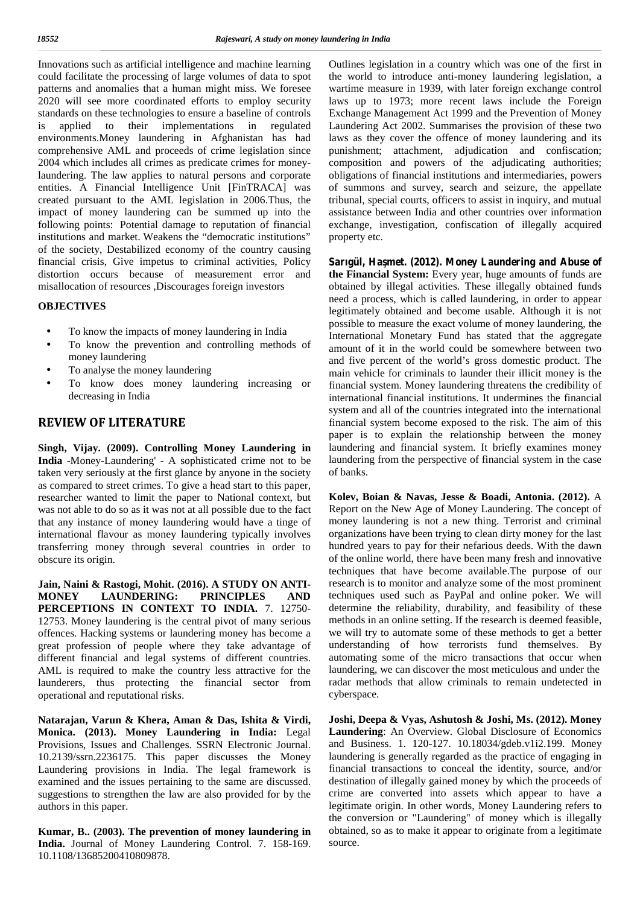Innovations such as artificial intelligence and machine learning could facilitate the processing of large volumes of data to spot patterns and anomalies that a human might miss. We foresee 2020 will see more coordinated efforts to employ security standards on these technologies to ensure a baseline of controls is applied to their implementations in regulated environments.Money laundering in Afghanistan has had comprehensive AML and proceeds of crime legislation since 2004 which includes all crimes as predicate crimes for moneylaundering. The law applies to natural persons and corporate entities. A Financial Intelligence Unit [FinTRACA] was created pursuant to the AML legislation in 2006.Thus, the impact of money laundering can be summed up into the following points: Potential damage to reputation of financial institutions and market. Weakens the "democratic institutions" of the society, Destabilized economy of the country causing financial crisis, Give impetus to criminal activities, Policy distortion occurs because of measurement error and misallocation of resources ,Discourages foreign investors

#### **OBJECTIVES**

- To know the impacts of money laundering in India
- To know the prevention and controlling methods of money laundering
- To analyse the money laundering
- To know does money laundering increasing or decreasing in India

#### **REVIEW OF LITERATURE**

**Singh, Vijay. (2009). Controlling Money Laundering in India** -Money-Laundering' - A sophisticated crime not to be taken very seriously at the first glance by anyone in the society as compared to street crimes. To give a head start to this paper, researcher wanted to limit the paper to National context, but was not able to do so as it was not at all possible due to the fact that any instance of money laundering would have a tinge of international flavour as money laundering typically involves transferring money through several countries in order to obscure its origin.

**Jain, Naini & Rastogi, Mohit. (2016). A STUDY ON ANTI- MONEY LAUNDERING: PRINCIPLES AND PERCEPTIONS IN CONTEXT TO INDIA.** 7. 12750- 12753. Money laundering is the central pivot of many serious offences. Hacking systems or laundering money has become a great profession of people where they take advantage of different financial and legal systems of different countries. AML is required to make the country less attractive for the launderers, thus protecting the financial sector from operational and reputational risks.

**Natarajan, Varun & Khera, Aman & Das, Ishita & Virdi, Monica. (2013). Money Laundering in India:** Legal Provisions, Issues and Challenges. SSRN Electronic Journal. 10.2139/ssrn.2236175. This paper discusses the Money Laundering provisions in India. The legal framework is examined and the issues pertaining to the same are discussed. suggestions to strengthen the law are also provided for by the authors in this paper.

**Kumar, B.. (2003). The prevention of money laundering in India.** Journal of Money Laundering Control. 7. 158-169. 10.1108/13685200410809878.

Outlines legislation in a country which was one of the first in the world to introduce anti-money laundering legislation, a wartime measure in 1939, with later foreign exchange control laws up to 1973; more recent laws include the Foreign Exchange Management Act 1999 and the Prevention of Money Laundering Act 2002. Summarises the provision of these two laws as they cover the offence of money laundering and its punishment; attachment, adjudication and confiscation; composition and powers of the adjudicating authorities; obligations of financial institutions and intermediaries, powers of summons and survey, search and seizure, the appellate tribunal, special courts, officers to assist in inquiry, and mutual assistance between India and other countries over information exchange, investigation, confiscation of illegally acquired property etc.

Sarıgül, Ha met. (2012). Money Laundering and Abuse of **the Financial System:** Every year, huge amounts of funds are obtained by illegal activities. These illegally obtained funds need a process, which is called laundering, in order to appear legitimately obtained and become usable. Although it is not possible to measure the exact volume of money laundering, the International Monetary Fund has stated that the aggregate amount of it in the world could be somewhere between two and five percent of the world's gross domestic product. The main vehicle for criminals to launder their illicit money is the financial system. Money laundering threatens the credibility of international financial institutions. It undermines the financial system and all of the countries integrated into the international financial system become exposed to the risk. The aim of this paper is to explain the relationship between the money laundering and financial system. It briefly examines money laundering from the perspective of financial system in the case of banks.

**Kolev, Boian & Navas, Jesse & Boadi, Antonia. (2012).** A Report on the New Age of Money Laundering. The concept of money laundering is not a new thing. Terrorist and criminal organizations have been trying to clean dirty money for the last hundred years to pay for their nefarious deeds. With the dawn of the online world, there have been many fresh and innovative techniques that have become available.The purpose of our research is to monitor and analyze some of the most prominent techniques used such as PayPal and online poker. We will determine the reliability, durability, and feasibility of these methods in an online setting. If the research is deemed feasible, we will try to automate some of these methods to get a better understanding of how terrorists fund themselves. By automating some of the micro transactions that occur when laundering, we can discover the most meticulous and under the radar methods that allow criminals to remain undetected in cyberspace.

**Joshi, Deepa & Vyas, Ashutosh & Joshi, Ms. (2012). Money Laundering**: An Overview. Global Disclosure of Economics and Business. 1. 120-127. 10.18034/gdeb.v1i2.199. Money laundering is generally regarded as the practice of engaging in financial transactions to conceal the identity, source, and/or destination of illegally gained money by which the proceeds of crime are converted into assets which appear to have a legitimate origin. In other words, Money Laundering refers to the conversion or "Laundering" of money which is illegally obtained, so as to make it appear to originate from a legitimate source.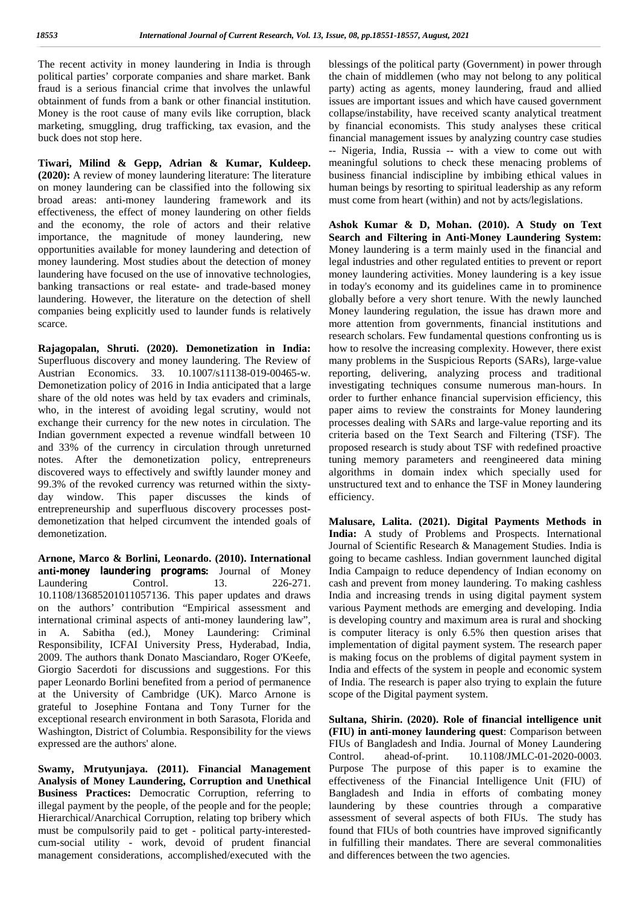The recent activity in money laundering in India is through political parties' corporate companies and share market. Bank fraud is a serious financial crime that involves the unlawful obtainment of funds from a bank or other financial institution. Money is the root cause of many evils like corruption, black marketing, smuggling, drug trafficking, tax evasion, and the buck does not stop here.

**Tiwari, Milind & Gepp, Adrian & Kumar, Kuldeep. (2020):** A review of money laundering literature: The literature on money laundering can be classified into the following six broad areas: anti-money laundering framework and its effectiveness, the effect of money laundering on other fields and the economy, the role of actors and their relative importance, the magnitude of money laundering, new opportunities available for money laundering and detection of money laundering. Most studies about the detection of money laundering have focused on the use of innovative technologies, banking transactions or real estate- and trade-based money laundering. However, the literature on the detection of shell companies being explicitly used to launder funds is relatively scarce.

**Rajagopalan, Shruti. (2020). Demonetization in India:** Superfluous discovery and money laundering. The Review of Austrian Economics. 33. 10.1007/s11138-019-00465-w. Demonetization policy of 2016 in India anticipated that a large share of the old notes was held by tax evaders and criminals, who, in the interest of avoiding legal scrutiny, would not exchange their currency for the new notes in circulation. The Indian government expected a revenue windfall between 10 and 33% of the currency in circulation through unreturned notes. After the demonetization policy, entrepreneurs discovered ways to effectively and swiftly launder money and 99.3% of the revoked currency was returned within the sixty day window. This paper discusses the kinds of entrepreneurship and superfluous discovery processes post demonetization that helped circumvent the intended goals of demonetization.

**Arnone, Marco & Borlini, Leonardo. (2010). International anti** money laundering programs: Journal of Money Laundering Control. 13. 226-271. 10.1108/13685201011057136. This paper updates and draws on the authors' contribution "Empirical assessment and international criminal aspects of anti money laundering law", in A. Sabitha (ed.), Money Laundering: Criminal Responsibility, ICFAI University Press, Hyderabad, India, 2009. The authors thank Donato Masciandaro, Roger O'Keefe, Giorgio Sacerdoti for discussions and suggestions. For this paper Leonardo Borlini benefited from a period of permanence at the University of Cambridge (UK). Marco Arnone is grateful to Josephine Fontana and Tony Turner for the exceptional research environment in both Sarasota, Florida and Washington, District of Columbia. Responsibility for the views expressed are the authors' alone.

**Swamy, Mrutyunjaya. (2011). Financial Management Analysis of Money Laundering, Corruption and Unethical Business Practices:** Democratic Corruption, referring to illegal payment by the people, of the people and for the people; Hierarchical/Anarchical Corruption, relating top bribery which must be compulsorily paid to get - political party-interested cum-social utility - work, devoid of prudent financial management considerations, accomplished/executed with the

blessings of the political party (Government) in power through the chain of middlemen (who may not belong to any political party) acting as agents, money laundering, fraud and allied issues are important issues and which have caused government collapse/instability, have received scanty analytical treatment by financial economists. This study analyses these critical financial management issues by analyzing country case studies -- Nigeria, India, Russia -- with a view to come out with meaningful solutions to check these menacing problems of business financial indiscipline by imbibing ethical values in human beings by resorting to spiritual leadership as any reform must come from heart (within) and not by acts/legislations.

**Ashok Kumar & D, Mohan. (2010). A Study on Text Search and Filtering in Anti-Money Laundering System:** Money laundering is a term mainly used in the financial and legal industries and other regulated entities to prevent or report money laundering activities. Money laundering is a key issue in today's economy and its guidelines came in to prominence globally before a very short tenure. With the newly launched Money laundering regulation, the issue has drawn more and more attention from governments, financial institutions and research scholars. Few fundamental questions confronting us is how to resolve the increasing complexity. However, there exist many problems in the Suspicious Reports (SARs), large-value reporting, delivering, analyzing process and traditional investigating techniques consume numerous man-hours. In order to further enhance financial supervision efficiency, this paper aims to review the constraints for Money laundering processes dealing with SARs and large-value reporting and its criteria based on the Text Search and Filtering (TSF). The proposed research is study about TSF with redefined proactive tuning memory parameters and reengineered data mining algorithms in domain index which specially used for unstructured text and to enhance the TSF in Money laundering efficiency.

**Malusare, Lalita. (2021). Digital Payments Methods in India:** A study of Problems and Prospects. International Journal of Scientific Research & Management Studies. India is going to became cashless. Indian government launched digital India Campaign to reduce dependency of Indian economy on cash and prevent from money laundering. To making cashless India and increasing trends in using digital payment system various Payment methods are emerging and developing. India is developing country and maximum area is rural and shocking is computer literacy is only 6.5% then question arises that implementation of digital payment system. The research paper is making focus on the problems of digital payment system in India and effects of the system in people and economic system of India. The research is paper also trying to explain the future scope of the Digital payment system.

**Sultana, Shirin. (2020). Role of financial intelligence unit (FIU) in anti-money laundering quest**: Comparison between FIUs of Bangladesh and India. Journal of Money Laundering Control. ahead-of-print. 10.1108/JMLC-01-2020-0003. Purpose The purpose of this paper is to examine the effectiveness of the Financial Intelligence Unit (FIU) of Bangladesh and India in efforts of combating money laundering by these countries through a comparative assessment of several aspects of both FIUs. The study has found that FIUs of both countries have improved significantly in fulfilling their mandates. There are several commonalities and differences between the two agencies.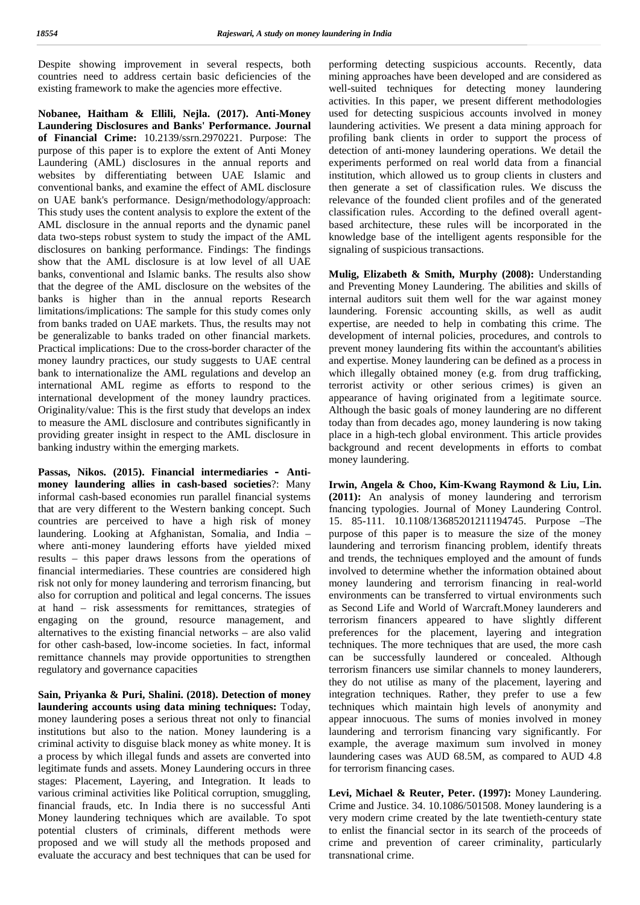Despite showing improvement in several respects, both countries need to address certain basic deficiencies of the existing framework to make the agencies more effective.

**Nobanee, Haitham & Ellili, Nejla. (2017). Anti-Money Laundering Disclosures and Banks' Performance. Journal of Financial Crime:** 10.2139/ssrn.2970221. Purpose: The purpose of this paper is to explore the extent of Anti Money Laundering (AML) disclosures in the annual reports and websites by differentiating between UAE Islamic and conventional banks, and examine the effect of AML disclosure on UAE bank's performance. Design/methodology/approach: This study uses the content analysis to explore the extent of the AML disclosure in the annual reports and the dynamic panel data two-steps robust system to study the impact of the AML disclosures on banking performance. Findings: The findings show that the AML disclosure is at low level of all UAE banks, conventional and Islamic banks. The results also show that the degree of the AML disclosure on the websites of the banks is higher than in the annual reports Research limitations/implications: The sample for this study comes only from banks traded on UAE markets. Thus, the results may not be generalizable to banks traded on other financial markets. Practical implications: Due to the cross-border character of the money laundry practices, our study suggests to UAE central bank to internationalize the AML regulations and develop an international AML regime as efforts to respond to the international development of the money laundry practices. Originality/value: This is the first study that develops an index to measure the AML disclosure and contributes significantly in providing greater insight in respect to the AML disclosure in banking industry within the emerging markets.

**Passas, Nikos. (2015). Financial intermediaries – Anti money laundering allies in cash-based societies**?: Many informal cash-based economies run parallel financial systems that are very different to the Western banking concept. Such countries are perceived to have a high risk of money laundering. Looking at Afghanistan, Somalia, and India – where anti-money laundering efforts have yielded mixed results – this paper draws lessons from the operations of financial intermediaries. These countries are considered high risk not only for money laundering and terrorism financing, but also for corruption and political and legal concerns. The issues at hand – risk assessments for remittances, strategies of engaging on the ground, resource management, and alternatives to the existing financial networks – are also valid for other cash-based, low-income societies. In fact, informal remittance channels may provide opportunities to strengthen regulatory and governance capacities

**Sain, Priyanka & Puri, Shalini. (2018). Detection of money laundering accounts using data mining techniques:** Today, money laundering poses a serious threat not only to financial institutions but also to the nation. Money laundering is a criminal activity to disguise black money as white money. It is a process by which illegal funds and assets are converted into legitimate funds and assets. Money Laundering occurs in three stages: Placement, Layering, and Integration. It leads to various criminal activities like Political corruption, smuggling, financial frauds, etc. In India there is no successful Anti Money laundering techniques which are available. To spot potential clusters of criminals, different methods were proposed and we will study all the methods proposed and evaluate the accuracy and best techniques that can be used for

performing detecting suspicious accounts. Recently, data mining approaches have been developed and are considered as well-suited techniques for detecting money laundering activities. In this paper, we present different methodologies used for detecting suspicious accounts involved in money laundering activities. We present a data mining approach for profiling bank clients in order to support the process of detection of anti-money laundering operations. We detail the experiments performed on real world data from a financial institution, which allowed us to group clients in clusters and then generate a set of classification rules. We discuss the relevance of the founded client profiles and of the generated classification rules. According to the defined overall agent based architecture, these rules will be incorporated in the knowledge base of the intelligent agents responsible for the signaling of suspicious transactions.

**Mulig, Elizabeth & Smith, Murphy (2008):** Understanding and Preventing Money Laundering. The abilities and skills of internal auditors suit them well for the war against money laundering. Forensic accounting skills, as well as audit expertise, are needed to help in combating this crime. The development of internal policies, procedures, and controls to prevent money laundering fits within the accountant's abilities and expertise. Money laundering can be defined as a process in which illegally obtained money (e.g. from drug trafficking, terrorist activity or other serious crimes) is given an appearance of having originated from a legitimate source. Although the basic goals of money laundering are no different today than from decades ago, money laundering is now taking place in a high-tech global environment. This article provides background and recent developments in efforts to combat money laundering.

**Irwin, Angela & Choo, Kim-Kwang Raymond & Liu, Lin. (2011):** An analysis of money laundering and terrorism fnancing typologies. Journal of Money Laundering Control. 15. 85-111. 10.1108/13685201211194745. Purpose –The purpose of this paper is to measure the size of the money laundering and terrorism financing problem, identify threats and trends, the techniques employed and the amount of funds involved to determine whether the information obtained about money laundering and terrorism financing in real world environments can be transferred to virtual environments such as Second Life and World of Warcraft.Money launderers and terrorism financers appeared to have slightly different preferences for the placement, layering and integration techniques. The more techniques that are used, the more cash can be successfully laundered or concealed. Although terrorism financers use similar channels to money launderers, they do not utilise as many of the placement, layering and integration techniques. Rather, they prefer to use a few techniques which maintain high levels of anonymity and appear innocuous. The sums of monies involved in money laundering and terrorism financing vary significantly. For example, the average maximum sum involved in money laundering cases was AUD 68.5M, as compared to AUD 4.8 for terrorism financing cases.

**Levi, Michael & Reuter, Peter. (1997):** Money Laundering. Crime and Justice. 34. 10.1086/501508. Money laundering is a very modern crime created by the late twentieth-century state to enlist the financial sector in its search of the proceeds of crime and prevention of career criminality, particularly transnational crime.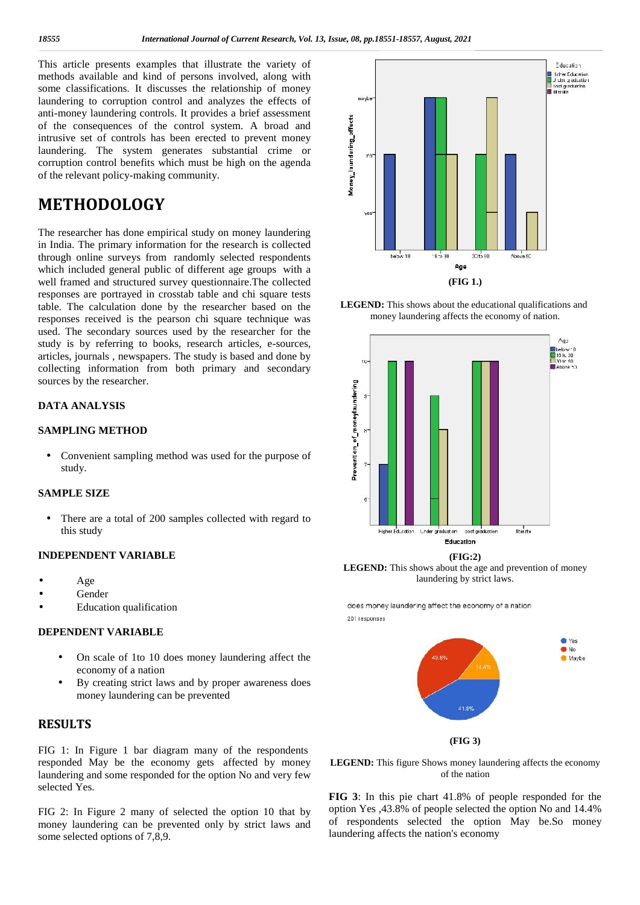This article presents examples that illustrate the variety of methods available and kind of persons involved, along with some classifications. It discusses the relationship of money laundering to corruption control and analyzes the effects of anti-money laundering controls. It provides a brief assessment and intrusive states of the consequences of the control system. A broad and intrusive set of controls has been erected to prevent money laundering. The system generates substantial crime or corruption control benefits whic intrusive set of controls has been erected to prevent money laundering. The system generates substantial crime or corruption control benefits which must be high on the agenda of the relevant policy-making community.

## **METHODOLOGY**

The researcher has done empirical study on money laundering in India. The primary information for the research is collected through online surveys from randomly selected respondents which included general public of different age groups with a well framed and structured survey questionnaire.The collected responses are portrayed in crosstab table and chi square tests table. The calculation done by the researcher based on the responses received is the pearson chi square technique was used. The secondary sources used by the researcher for the study is by referring to books, research articles, e-sources, articles, journals , newspapers. The study is based and done by collecting information from both primary and secondary sources by the researcher.

#### **DATA ANALYSIS**

#### **SAMPLING METHOD**

 Convenient sampling method was used for the purpose of study.

#### **SAMPLE SIZE**

 There are a total of 200 samples collected with regard to this study

#### **INDEPENDENT VARIABLE**

 Age Gender Education qualification

#### **DEPENDENT VARIABLE**

- On scale of 1to 10 does money laundering affect the economy of a nation
- By creating strict laws and by proper awareness does money laundering can be prevented

#### **RESULTS**

FIG 1: In Figure 1 bar diagram many of the respondents responded May be the economy gets affected by money laundering and some responded for the option No and very few selected Yes.

FIG 2: In Figure 2 many of selected the option 10 that by money laundering can be prevented only by strict laws and some selected options of 7,8,9.



**LEGEND:** This shows about the educational qualifications and money laundering affects the economy of nation.



**LEGEND:** This shows about the age and prevention of money laundering by strict laws.

does money laundering affect the economy of a nation 201 responses



**LEGEND:** This figure Shows money laundering affects the economy of the nation

**FIG 3**: In this pie chart 41.8% of people responded for the option Yes ,43.8% of people selected the option No and 14.4% of respondents selected the option May be.So money laundering affects the nation's economy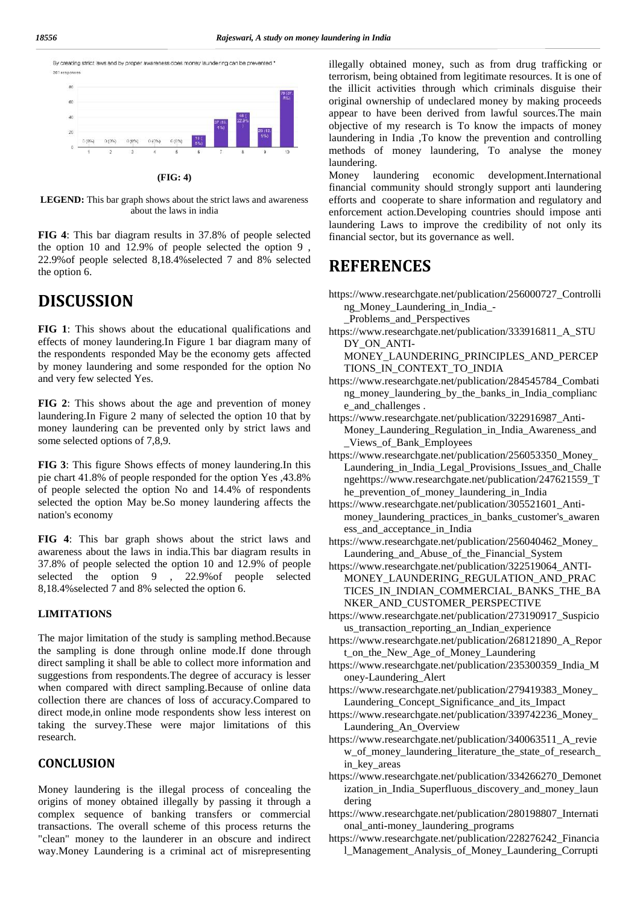



#### **(FIG: 4)**

**LEGEND:** This bar graph shows about the strict laws and awareness about the laws in india

**FIG 4**: This bar diagram results in 37.8% of people selected the option 10 and 12.9% of people selected the option 9 , 22.9%of people selected 8,18.4%selected 7 and 8% selected the option 6.

### **DISCUSSION**

**FIG 1**: This shows about the educational qualifications and effects of money laundering.In Figure 1 bar diagram many of the respondents responded May be the economy gets affected by money laundering and some responded for the option No and very few selected Yes.

**FIG 2**: This shows about the age and prevention of money laundering.In Figure 2 many of selected the option 10 that by money laundering can be prevented only by strict laws and some selected options of 7,8,9.

**FIG 3**: This figure Shows effects of money laundering.In this pie chart 41.8% of people responded for the option Yes ,43.8% of people selected the option No and 14.4% of respondents selected the option May be.So money laundering affects the nation's economy

**FIG 4**: This bar graph shows about the strict laws and awareness about the laws in india.This bar diagram results in 37.8% of people selected the option 10 and 12.9% of people selected the option 9 , 22.9%of people selected 8,18.4%selected 7 and 8% selected the option 6.

#### **LIMITATIONS**

The major limitation of the study is sampling method.Because the sampling is done through online mode.If done through direct sampling it shall be able to collect more information and suggestions from respondents.The degree of accuracy is lesser when compared with direct sampling.Because of online data collection there are chances of loss of accuracy.Compared to direct mode,in online mode respondents show less interest on taking the survey.These were major limitations of this research.

#### **CONCLUSION**

Money laundering is the illegal process of concealing the origins of money obtained illegally by passing it through a complex sequence of banking transfers or commercial transactions. The overall scheme of this process returns the "clean" money to the launderer in an obscure and indirect way.Money Laundering is a criminal act of misrepresenting

illegally obtained money, such as from drug trafficking or terrorism, being obtained from legitimate resources. It is one of the illicit activities through which criminals disguise their original ownership of undeclared money by making proceeds appear to have been derived from lawful sources.The main objective of my research is To know the impacts of money laundering in India ,To know the prevention and controlling methods of money laundering, To analyse the money laundering.

Money laundering economic development.International financial community should strongly support anti laundering efforts and cooperate to share information and regulatory and enforcement action.Developing countries should impose anti laundering Laws to improve the credibility of not only its financial sector, but its governance as well.

### **REFERENCES**

https://www.researchgate.net/publication/256000727\_Controlli ng\_Money\_Laundering\_in\_India\_-

\_Problems\_and\_Perspectives

https://www.researchgate.net/publication/333916811\_A\_STU DY\_ON\_ANTI-

MONEY\_LAUNDERING\_PRINCIPLES\_AND\_PERCEP TIONS\_IN\_CONTEXT\_TO\_INDIA

- https://www.researchgate.net/publication/284545784\_Combati ng\_money\_laundering\_by\_the\_banks\_in\_India\_complianc e\_and\_challenges .
- https://www.researchgate.net/publication/322916987\_Anti- Money Laundering Regulation in India Awareness and \_Views\_of\_Bank\_Employees
- https://www.researchgate.net/publication/256053350\_Money\_ Laundering in India Legal Provisions Issues and Challe ngehttps://www.researchgate.net/publication/247621559\_T he prevention of money laundering in India
- https://www.researchgate.net/publication/305521601\_Anti money\_laundering\_practices\_in\_banks\_customer's\_awaren ess\_and\_acceptance\_in\_India
- https://www.researchgate.net/publication/256040462\_Money\_ Laundering\_and\_Abuse\_of\_the\_Financial\_System
- https://www.researchgate.net/publication/322519064\_ANTI- MONEY LAUNDERING REGULATION AND PRAC TICES\_IN\_INDIAN\_COMMERCIAL\_BANKS\_THE\_BA NKER\_AND\_CUSTOMER\_PERSPECTIVE
- https://www.researchgate.net/publication/273190917\_Suspicio us\_transaction\_reporting\_an\_Indian\_experience
- https://www.researchgate.net/publication/268121890\_A\_Repor t on the New Age of Money Laundering
- https://www.researchgate.net/publication/235300359\_India\_M oney-Laundering\_Alert
- https://www.researchgate.net/publication/279419383\_Money\_ Laundering Concept Significance and its Impact
- https://www.researchgate.net/publication/339742236\_Money\_ Laundering\_An\_Overview
- https://www.researchgate.net/publication/340063511\_A\_revie w\_of\_money\_laundering\_literature\_the\_state\_of\_research\_ in key areas
- https://www.researchgate.net/publication/334266270\_Demonet ization\_in\_India\_Superfluous\_discovery\_and\_money\_laun dering
- https://www.researchgate.net/publication/280198807\_Internati onal\_anti-money\_laundering\_programs
- https://www.researchgate.net/publication/228276242\_Financia l\_Management\_Analysis\_of\_Money\_Laundering\_Corrupti